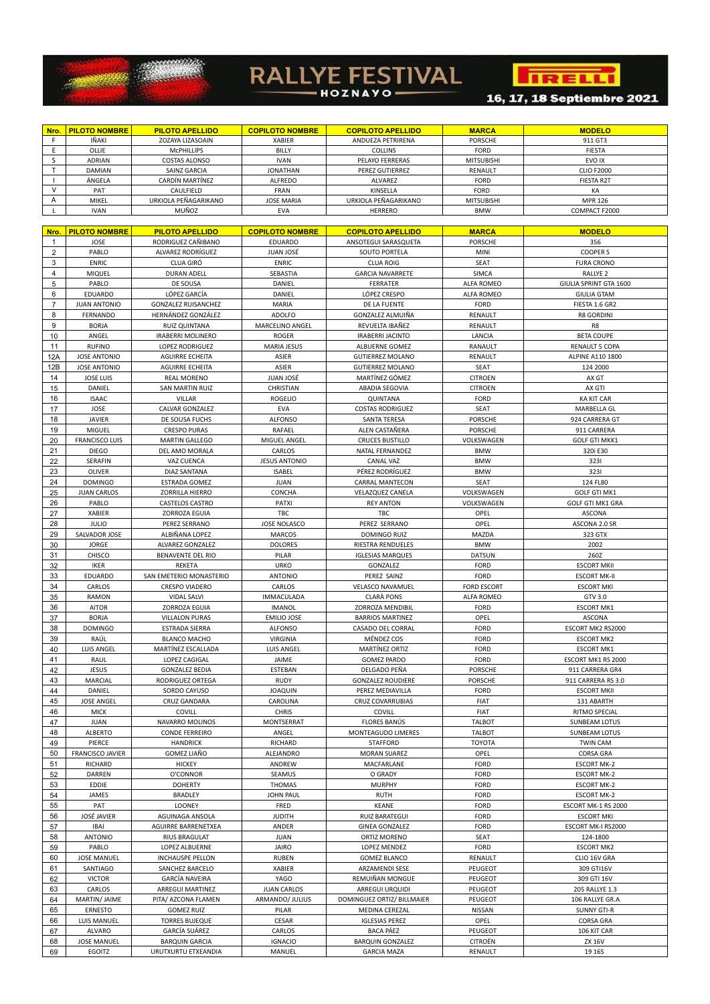## **RALLYE FESTIVAL**



16, 17, 18 Septiembre 2021

| Nro. | <u>  PILOTO NOMBRE  </u> | <b>PILOTO APELLIDO</b> | <b>COPILOTO NOMBRE</b> | <b>COPILOTO APELLIDO</b> | <b>MARCA</b>      | <b>MODELO</b>     |
|------|--------------------------|------------------------|------------------------|--------------------------|-------------------|-------------------|
|      | IÑAKI                    | ZOZAYA LIZASOAIN       | <b>XABIER</b>          | ANDUEZA PETRIRENA        | <b>PORSCHE</b>    | 911 GT3           |
|      | OLLIE                    | MCPHILLIPS             | <b>BILLY</b>           | <b>COLLINS</b>           | <b>FORD</b>       | <b>FIESTA</b>     |
|      | ADRIAN                   | COSTAS ALONSO          | <b>IVAN</b>            | PELAYO FERRERAS          | <b>MITSUBISHI</b> | EVO IX            |
|      | <b>DAMIAN</b>            | SAINZ GARCIA           | <b>JONATHAN</b>        | <b>PEREZ GUTIERREZ</b>   | RENAULT           | <b>CLIO F2000</b> |
|      | ÁNGELA                   | CARDÍN MARTÍNEZ        | ALFREDO                | ALVAREZ                  | <b>FORD</b>       | <b>FIESTA R2T</b> |
|      | <b>PAT</b>               | CAULFIELD              | <b>FRAN</b>            | KINSELLA                 | FORD              | КA                |
|      | <b>MIKEL</b>             | URKIOLA PEÑAGARIKANO   | <b>JOSE MARIA</b>      | URKIOLA PEÑAGARIKANO     | <b>MITSUBISHI</b> | <b>MPR 126</b>    |
|      | <b>IVAN</b>              | MI IÑOZ                | FVA                    | HERRERO                  | <b>RMM/</b>       | COMPACT E2000     |

| Nro.           | <b>PILOTO NOMBRE</b>    | <b>PILOTO APELLIDO</b>     | <b>COPILOTO NOMBRE</b> | <b>COPILOTO APELLIDO</b>   | <b>MARCA</b>       | <b>MODELO</b>             |
|----------------|-------------------------|----------------------------|------------------------|----------------------------|--------------------|---------------------------|
| -1             | <b>JOSE</b>             | RODRIGUEZ CAÑIBANO         | <b>EDUARDO</b>         | ANSOTEGUI SARASQUETA       | <b>PORSCHE</b>     | 356                       |
| 2              | PABLO                   | ALVAREZ RODRÍGUEZ          | <b>JUAN JOSÉ</b>       | <b>SOUTO PORTELA</b>       | <b>MINI</b>        | <b>COOPER S</b>           |
| 3              | <b>ENRIC</b>            | <b>CLUA GIRÓ</b>           | <b>ENRIC</b>           | <b>CLUA ROIG</b>           | <b>SEAT</b>        | <b>FURA CRONO</b>         |
| 4              | <b>MIQUEL</b>           | <b>DURAN ADELL</b>         | SEBASTIA               | <b>GARCIA NAVARRETE</b>    | <b>SIMCA</b>       | RALLYE <sub>2</sub>       |
| 5              | PABLO                   | DE SOUSA                   | DANIEL                 | <b>FERRATER</b>            | <b>ALFA ROMEO</b>  | GIULIA SPRINT GTA 1600    |
| 6              | <b>EDUARDO</b>          | LÓPEZ GARCÍA               | DANIEL                 | LÓPEZ CRESPO               | <b>ALFA ROMEO</b>  | <b>GIULIA GTAM</b>        |
| $\overline{7}$ | <b>JUAN ANTONIO</b>     | <b>GONZALEZ RUISANCHEZ</b> | <b>MARIA</b>           | DE LA FUENTE               | FORD               | FIESTA 1.6 GR2            |
| 8              | FERNANDO                | HERNÁNDEZ GONZÁLEZ         | ADOLFO                 | GONZALEZ ALMUIÑA           | RENAULT            | R8 GORDINI                |
| 9              | <b>BORJA</b>            | <b>RUIZ QUINTANA</b>       | MARCELINO ANGEL        | REVUELTA IBAÑEZ            | RENAULT            | R8                        |
| 10             | ANGEL                   | <b>IRABERRI MOLINERO</b>   | <b>ROGER</b>           | <b>IRABERRI JACINTO</b>    | LANCIA             | <b>BETA COUPE</b>         |
| 11             | <b>RUFINO</b>           | LOPEZ RODRIGUEZ            | <b>MARIA JESUS</b>     | <b>ALBUERNE GOMEZ</b>      | RANAULT            | <b>RENAULT 5 COPA</b>     |
| 12A            | <b>JOSE ANTONIO</b>     | <b>AGUIRRE ECHEITA</b>     | ASIER                  | <b>GUTIERREZ MOLANO</b>    | RENAULT            | ALPINE A110 1800          |
| 12B            | <b>JOSE ANTONIO</b>     | <b>AGUIRRE ECHEITA</b>     | <b>ASIER</b>           | <b>GUTIERREZ MOLANO</b>    | <b>SEAT</b>        | 124 2000                  |
| 14             | <b>JOSE LUIS</b>        | <b>REAL MORENO</b>         | JUAN JOSÉ              | MARTÍNEZ GÓMEZ             | <b>CITROEN</b>     | AX GT                     |
| 15             | DANIEL                  | <b>SAN MARTIN RUIZ</b>     | <b>CHRISTIAN</b>       | <b>ABADIA SEGOVIA</b>      | <b>CITROEN</b>     | AX GTI                    |
| 16             | <b>ISAAC</b>            | VILLAR                     | <b>ROGELIO</b>         | <b>QUINTANA</b>            | <b>FORD</b>        | <b>KA KIT CAR</b>         |
| 17             | <b>JOSE</b>             | <b>CALVAR GONZALEZ</b>     | <b>EVA</b>             | <b>COSTAS RODRIGUEZ</b>    | <b>SEAT</b>        | <b>MARBELLA GL</b>        |
| 18             | <b>JAVIER</b>           | DE SOUSA FUCHS             | <b>ALFONSO</b>         | SANTA TERESA               | <b>PORSCHE</b>     | 924 CARRERA GT            |
| 19             | <b>MIGUEL</b>           | <b>CRESPO PURAS</b>        | <b>RAFAEL</b>          | ALEN CASTAÑERA             | <b>PORSCHE</b>     | 911 CARRERA               |
| 20             | <b>FRANCISCO LUIS</b>   | <b>MARTIN GALLEGO</b>      | MIGUEL ANGEL           | <b>CRUCES BUSTILLO</b>     | VOLKSWAGEN         | <b>GOLF GTI MKK1</b>      |
| 21             | <b>DIEGO</b>            | DEL AMO MORALA             | CARLOS                 | NATAL FERNANDEZ            | <b>BMW</b>         | 320i E30                  |
| 22             | <b>SERAFIN</b>          | VAZ CUENCA                 | <b>JESUS ANTONIO</b>   | <b>CANAL VAZ</b>           | <b>BMW</b>         | 3231                      |
| 23             | <b>OLIVER</b>           | DIAZ SANTANA               | <b>ISABEL</b>          | PÉREZ RODRÍGUEZ            | <b>BMW</b>         | 3231                      |
| 24             | <b>DOMINGO</b>          | ESTRADA GOMEZ              | <b>JUAN</b>            | <b>CARRAL MANTECON</b>     | <b>SEAT</b>        | 124 FL80                  |
| 25             | <b>JUAN CARLOS</b>      | ZORRILLA HIERRO            | <b>CONCHA</b>          | <b>VELAZQUEZ CANELA</b>    | VOLKSWAGEN         | <b>GOLF GTI MK1</b>       |
| 26             | PABLO                   | CASTELOS CASTRO            | <b>PATXI</b>           | <b>REY ANTON</b>           | VOLKSWAGEN         | <b>GOLF GTI MK1 GRA</b>   |
| 27             | <b>XABIER</b>           | ZORROZA EGUIA              | TBC                    | TBC                        | <b>OPEL</b>        | <b>ASCONA</b>             |
| 28             | JULIO                   | PEREZ SERRANO              | <b>JOSE NOLASCO</b>    | PEREZ SERRANO              | <b>OPEL</b>        | ASCONA 2.0 SR             |
| 29             | SALVADOR JOSE           | ALBIÑANA LOPEZ             | <b>MARCOS</b>          | DOMINGO RUIZ               | <b>MAZDA</b>       | 323 GTX                   |
| 30             | <b>JORGE</b>            | ALVAREZ GONZALEZ           | <b>DOLORES</b>         | RIESTRA RENDUELES          | <b>BMW</b>         | 2002                      |
| 31             | <b>CHISCO</b>           | BENAVENTE DEL RIO          | PILAR                  | <b>IGLESIAS MARQUES</b>    | <b>DATSUN</b>      | 260Z                      |
| 32             | <b>IKER</b>             | REKETA                     | <b>URKO</b>            | GONZALEZ                   | <b>FORD</b>        | <b>ESCORT MKII</b>        |
| 33             | <b>EDUARDO</b>          | SAN EMETERIO MONASTERIO    | <b>ANTONIO</b>         | PEREZ SAINZ                | FORD               | <b>ESCORT MK-II</b>       |
| 34             | CARLOS                  | <b>CRESPO VIADERO</b>      | CARLOS                 | <b>VELASCO NAVAMUEL</b>    | <b>FORD ESCORT</b> | <b>ESCORT MKI</b>         |
| 35             | RAMON                   | <b>VIDAL SALVI</b>         | <b>IMMACULADA</b>      | <b>CLARÀ PONS</b>          | <b>ALFA ROMEO</b>  | GTV 3.0                   |
| 36             | <b>AITOR</b>            | ZORROZA EGUIA              | <b>IMANOL</b>          | ZORROZA MENDIBIL           | FORD               | <b>ESCORT MK1</b>         |
| 37             | <b>BORJA</b>            | <b>VILLALON PURAS</b>      | <b>EMILIO JOSE</b>     | <b>BARRIOS MARTINEZ</b>    | OPEL               | <b>ASCONA</b>             |
| 38             | <b>DOMINGO</b>          | <b>ESTRADA SIERRA</b>      | ALFONSO                | CASADO DEL CORRAL          | <b>FORD</b>        | ESCORT MK2 RS2000         |
| 39             | RAÚL                    | <b>BLANCO MACHO</b>        | <b>VIRGINIA</b>        | MÉNDEZ COS                 | <b>FORD</b>        | <b>ESCORT MK2</b>         |
| 40             | LUIS ANGEL              | MARTÍNEZ ESCALLADA         | LUIS ANGEL             | MARTÍNEZ ORTIZ             | <b>FORD</b>        | <b>ESCORT MK1</b>         |
| 41             | RAUL                    | LOPEZ CAGIGAL              | JAIME                  | <b>GOMEZ PARDO</b>         | FORD               | ESCORT MK1 RS 2000        |
| 42             | <b>JESUS</b>            | <b>GONZALEZ BEDIA</b>      | ESTEBAN                | DELGADO PEÑA               | <b>PORSCHE</b>     | 911 CARRERA GR4           |
| 43             | <b>MARCIAL</b>          | RODRIGUEZ ORTEGA           | <b>RUDY</b>            | <b>GONZALEZ ROUDIERE</b>   | <b>PORSCHE</b>     | 911 CARRERA RS 3.0        |
| 44             | DANIEL                  | SORDO CAYUSO               | <b>JOAQUIN</b>         | PEREZ MEDIAVILLA           | FORD               | <b>ESCORT MKII</b>        |
| 45             | <b>JOSE ANGEL</b>       | <b>CRUZ GANDARA</b>        | CAROLINA               | <b>CRUZ COVARRUBIAS</b>    | <b>FIAT</b>        | 131 ABARTH                |
| 46             | <b>MICK</b>             | <b>COVILL</b>              | <b>CHRIS</b>           | <b>COVILL</b>              | <b>FIAT</b>        | RITMO SPECIAL             |
| 47             | <b>JUAN</b>             | NAVARRO MOLINOS            | MONTSERRAT             | FLORES BANÚS               | <b>TALBOT</b>      | <b>SUNBEAM LOTUS</b>      |
| 48             | <b>ALBERTO</b>          | <b>CONDE FERREIRO</b>      | ANGEL                  | MONTEAGUDO LIMERES         | <b>TALBOT</b>      | <b>SUNBEAM LOTUS</b>      |
| 49             | PIERCE                  | <b>HANDRICK</b>            | <b>RICHARD</b>         | <b>STAFFORD</b>            | <b>TOYOTA</b>      | <b>TWIN CAM</b>           |
| 50             | <b>FRANCISCO JAVIER</b> | <b>GOMEZ LIAÑO</b>         | <b>ALEJANDRO</b>       | <b>MORAN SUAREZ</b>        | <b>OPEL</b>        | <b>CORSA GRA</b>          |
| 51             | RICHARD                 | <b>HICKEY</b>              | ANDREW                 | MACFARLANE                 | <b>FORD</b>        | <b>ESCORT MK-2</b>        |
| 52             | DARREN                  | O'CONNOR                   | SEAMUS                 | O GRADY                    | <b>FORD</b>        | <b>ESCORT MK-2</b>        |
| 53             | EDDIE                   | <b>DOHERTY</b>             | <b>THOMAS</b>          | <b>MURPHY</b>              | <b>FORD</b>        | <b>ESCORT MK-2</b>        |
| 54             | JAMES                   | <b>BRADLEY</b>             | <b>JOHN PAUL</b>       | <b>RUTH</b>                | FORD               | <b>ESCORT MK-2</b>        |
| 55             | PAT                     | <b>LOONEY</b>              | FRED                   | <b>KEANE</b>               | <b>FORD</b>        | ESCORT MK-1 RS 2000       |
| 56             | <b>JOSÉ JAVIER</b>      | AGUINAGA ANSOLA            | <b>JUDITH</b>          | <b>RUIZ BARATEGUI</b>      | <b>FORD</b>        | <b>ESCORT MKI</b>         |
| 57             | <b>IBAI</b>             | AGUIRRE BARRENETXEA        | ANDER                  | <b>GINEA GONZALEZ</b>      | <b>FORD</b>        | <b>ESCORT MK-I RS2000</b> |
| 58             | <b>ANTONIO</b>          | <b>RIUS BRAGULAT</b>       | <b>JUAN</b>            | ORTIZ MORENO               | <b>SEAT</b>        | 124-1800                  |
| 59             | PABLO                   | LOPEZ ALBUERNE             | <b>JAIRO</b>           | LOPEZ MENDEZ               | <b>FORD</b>        | <b>ESCORT MK2</b>         |
| 60             | <b>JOSE MANUEL</b>      | <b>INCHAUSPE PELLON</b>    | <b>RUBEN</b>           | <b>GOMEZ BLANCO</b>        | RENAULT            | CLIO 16V GRA              |
| 61             | SANTIAGO                | SANCHEZ BARCELO            | XABIER                 | ARZAMENDI SESE             | <b>PEUGEOT</b>     | 309 GTI16V                |
| 62             | <b>VICTOR</b>           | <b>GARCÍA NAVEIRA</b>      | YAGO                   | REMUIÑAN MONGUE            | PEUGEOT            | 309 GTI 16V               |
| 63             | CARLOS                  | <b>ARREGUI MARTINEZ</b>    | <b>JUAN CARLOS</b>     | <b>ARREGUI URQUIDI</b>     | PEUGEOT            | 205 RALLYE 1.3            |
| 64             | MARTIN/ JAIME           | PITA/ AZCONA FLAMEN        | ARMANDO/ JULIUS        | DOMINGUEZ ORTIZ/ BILLMAIER | PEUGEOT            | 106 RALLYE GR.A           |
| 65             | <b>ERNESTO</b>          | <b>GOMEZ RUIZ</b>          | PILAR                  | MEDINA CEREZAL             | <b>NISSAN</b>      | <b>SUNNY GTI-R</b>        |
| 66             | LUIS MANUEL             | <b>TORRES BUJEQUE</b>      | CESAR                  | <b>IGLESIAS PEREZ</b>      | <b>OPEL</b>        | <b>CORSA GRA</b>          |
| 67             | ALVARO                  | GARCÍA SUÁREZ              | CARLOS                 | <b>BACA PÁEZ</b>           | PEUGEOT            | 106 KIT CAR               |
| 68             | <b>JOSE MANUEL</b>      | <b>BARQUIN GARCIA</b>      | <b>IGNACIO</b>         | <b>BARQUIN GONZALEZ</b>    | <b>CITROËN</b>     | ZX 16V                    |
|                |                         | URUTXURTU ETXEANDIA        | <b>MANUEL</b>          | <b>GARCIA MAZA</b>         | RENAULT            | 19 16S                    |